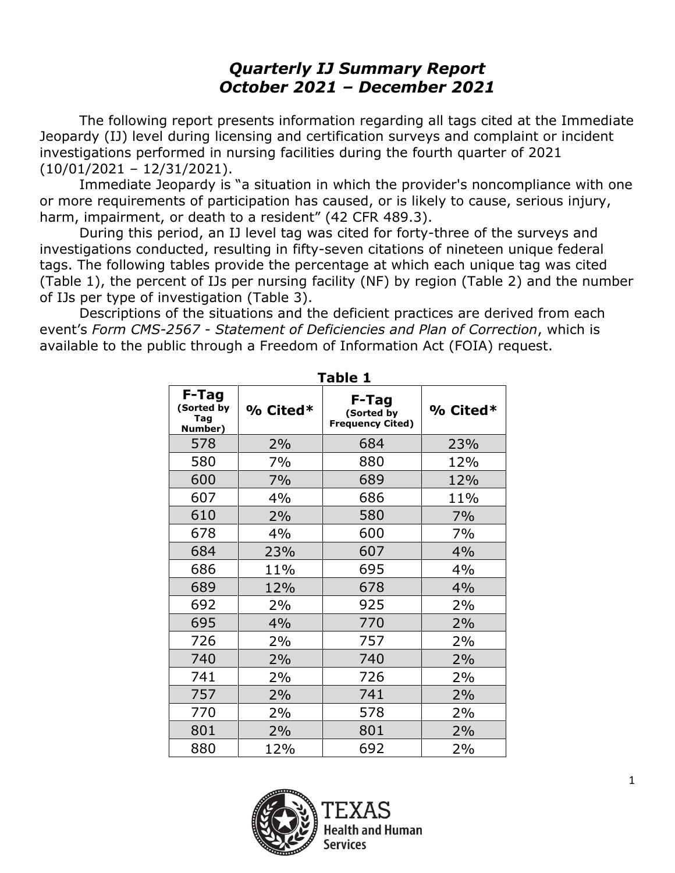# *Quarterly IJ Summary Report October 2021 – December 2021*

The following report presents information regarding all tags cited at the Immediate Jeopardy (IJ) level during licensing and certification surveys and complaint or incident investigations performed in nursing facilities during the fourth quarter of 2021 (10/01/2021 – 12/31/2021).

Immediate Jeopardy is "a situation in which the provider's noncompliance with one or more requirements of participation has caused, or is likely to cause, serious injury, harm, impairment, or death to a resident" (42 CFR 489.3).

During this period, an IJ level tag was cited for forty-three of the surveys and investigations conducted, resulting in fifty-seven citations of nineteen unique federal tags. The following tables provide the percentage at which each unique tag was cited (Table 1), the percent of IJs per nursing facility (NF) by region (Table 2) and the number of IJs per type of investigation (Table 3).

Descriptions of the situations and the deficient practices are derived from each event's *Form CMS-2567 - Statement of Deficiencies and Plan of Correction*, which is available to the public through a Freedom of Information Act (FOIA) request.

| I ANIC T                              |            |                                                |            |  |  |  |
|---------------------------------------|------------|------------------------------------------------|------------|--|--|--|
| F-Tag<br>(Sorted by<br>Tag<br>Number) | $%$ Cited* | F-Tag<br>(Sorted by<br><b>Frequency Cited)</b> | $%$ Cited* |  |  |  |
| 578                                   | 2%         | 684                                            | 23%        |  |  |  |
| 580                                   | 7%         | 880                                            | 12%        |  |  |  |
| 600                                   | 7%         | 689                                            | 12%        |  |  |  |
| 607                                   | 4%         | 686                                            | 11%        |  |  |  |
| 610                                   | 2%         | 580                                            | 7%         |  |  |  |
| 678                                   | 4%         | 600                                            | 7%         |  |  |  |
| 684                                   | 23%        | 607                                            | 4%         |  |  |  |
| 686                                   | 11%        | 695                                            | 4%         |  |  |  |
| 689                                   | 12%        | 678                                            | 4%         |  |  |  |
| 692                                   | 2%         | 925                                            | 2%         |  |  |  |
| 695                                   | 4%         | 770                                            | 2%         |  |  |  |
| 726                                   | 2%         | 757                                            | 2%         |  |  |  |
| 740                                   | 2%         | 740                                            | 2%         |  |  |  |
| 741                                   | 2%         | 726                                            | 2%         |  |  |  |
| 757                                   | 2%         | 741                                            | 2%         |  |  |  |
| 770                                   | 2%         | 578                                            | 2%         |  |  |  |
| 801                                   | 2%         | 801                                            | 2%         |  |  |  |
| 880                                   | 12%        | 692                                            | 2%         |  |  |  |



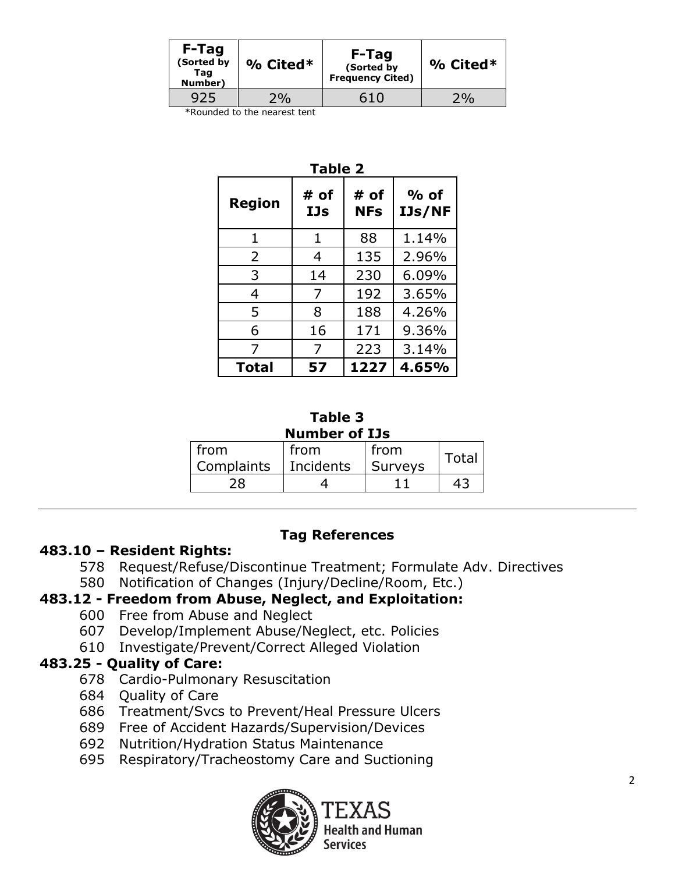| $%$ Cited* | (Sorted by<br><b>Frequency Cited)</b> | $%$ Cited* |
|------------|---------------------------------------|------------|
| $2\%$      | 610                                   |            |
|            |                                       | F-Tag      |

\*Rounded to the nearest tent

| <b>Table 2</b> |             |                    |                         |  |  |  |  |  |
|----------------|-------------|--------------------|-------------------------|--|--|--|--|--|
| <b>Region</b>  | # of<br>IJs | # of<br><b>NFs</b> | $%$ of<br><b>IJs/NF</b> |  |  |  |  |  |
| 1              | 1           | 88                 | 1.14%                   |  |  |  |  |  |
| 2              | 4           | 135                | 2.96%                   |  |  |  |  |  |
| 3              | 14          | 230                | 6.09%                   |  |  |  |  |  |
| 4              | 7           | 192                | 3.65%                   |  |  |  |  |  |
| 5              | 8           | 188                | 4.26%                   |  |  |  |  |  |
| 6              | 16          | 171                | 9.36%                   |  |  |  |  |  |
| 7              | 7           | 223                | 3.14%                   |  |  |  |  |  |
| <b>Total</b>   | 57          | 1227               | 4.65%                   |  |  |  |  |  |

#### **Table 3 Number of IJs**

| from       | from        | from    | <b>Total</b> |
|------------|-------------|---------|--------------|
| Complaints | l Incidents | Surveys |              |
|            |             |         |              |

#### **Tag References**

#### **483.10 – Resident Rights:**

- 578 Request/Refuse/Discontinue Treatment; Formulate Adv. Directives
- 580 Notification of Changes (Injury/Decline/Room, Etc.)

# **483.12 - Freedom from Abuse, Neglect, and Exploitation:**

- 600 Free from Abuse and Neglect
- 607 Develop/Implement Abuse/Neglect, etc. Policies
- 610 Investigate/Prevent/Correct Alleged Violation

## **483.25 - Quality of Care:**

- 678 Cardio-Pulmonary Resuscitation
- 684 Quality of Care
- 686 Treatment/Svcs to Prevent/Heal Pressure Ulcers
- 689 Free of Accident Hazards/Supervision/Devices
- 692 Nutrition/Hydration Status Maintenance
- 695 Respiratory/Tracheostomy Care and Suctioning



ıd Human Service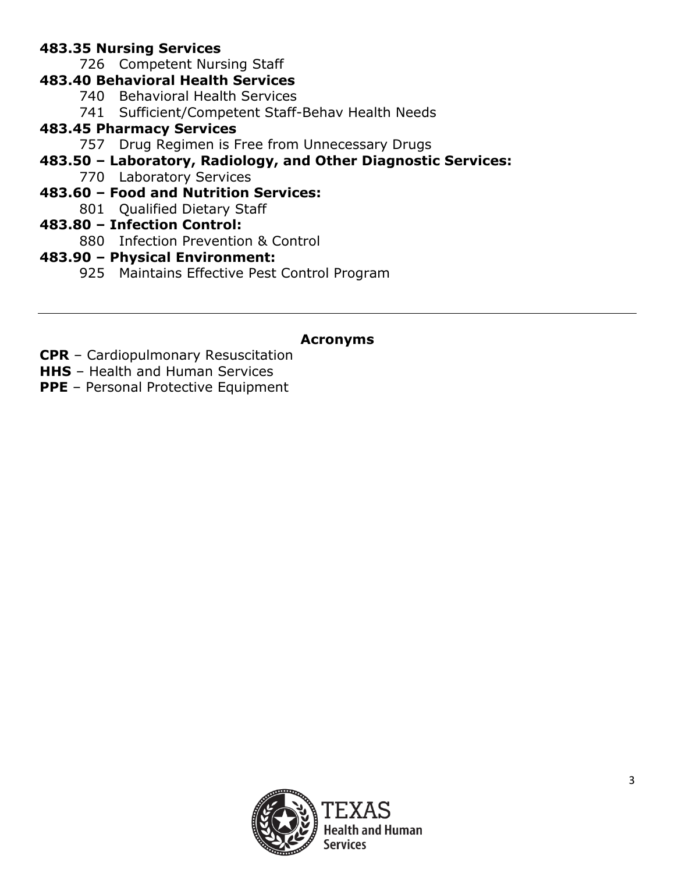# **483.35 Nursing Services**

726 Competent Nursing Staff

# **483.40 Behavioral Health Services**

- 740 Behavioral Health Services
- 741 Sufficient/Competent Staff-Behav Health Needs

# **483.45 Pharmacy Services**

- 757 Drug Regimen is Free from Unnecessary Drugs
- **483.50 – Laboratory, Radiology, and Other Diagnostic Services:**
	- 770 Laboratory Services

# **483.60 – Food and Nutrition Services:**

801 Qualified Dietary Staff

# **483.80 – Infection Control:**

880 Infection Prevention & Control

# **483.90 – Physical Environment:**

925 Maintains Effective Pest Control Program

# **Acronyms**

- **CPR** Cardiopulmonary Resuscitation
- **HHS** Health and Human Services
- **PPE** Personal Protective Equipment

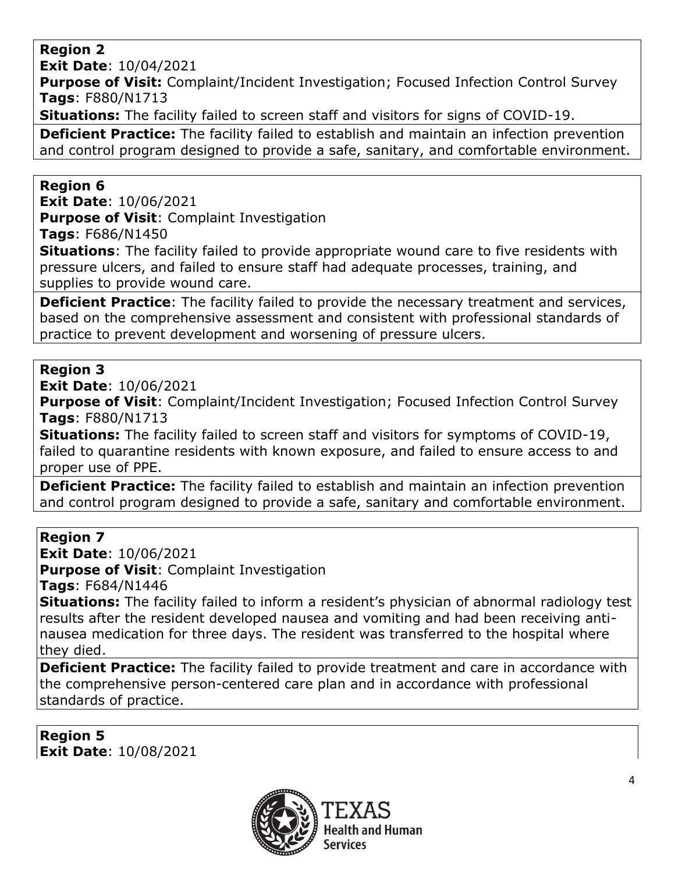### **Region 2**

**Exit Date**: 10/04/2021

**Purpose of Visit:** Complaint/Incident Investigation; Focused Infection Control Survey **Tags**: F880/N1713

**Situations:** The facility failed to screen staff and visitors for signs of COVID-19.

**Deficient Practice:** The facility failed to establish and maintain an infection prevention and control program designed to provide a safe, sanitary, and comfortable environment.

### **Region 6**

**Exit Date**: 10/06/2021 **Purpose of Visit**: Complaint Investigation

**Tags**: F686/N1450

**Situations**: The facility failed to provide appropriate wound care to five residents with pressure ulcers, and failed to ensure staff had adequate processes, training, and supplies to provide wound care.

**Deficient Practice**: The facility failed to provide the necessary treatment and services, based on the comprehensive assessment and consistent with professional standards of practice to prevent development and worsening of pressure ulcers.

## **Region 3**

**Exit Date**: 10/06/2021

**Purpose of Visit:** Complaint/Incident Investigation; Focused Infection Control Survey **Tags**: F880/N1713

**Situations:** The facility failed to screen staff and visitors for symptoms of COVID-19, failed to quarantine residents with known exposure, and failed to ensure access to and proper use of PPE.

**Deficient Practice:** The facility failed to establish and maintain an infection prevention and control program designed to provide a safe, sanitary and comfortable environment.

## **Region 7**

**Exit Date**: 10/06/2021 **Purpose of Visit**: Complaint Investigation

**Tags**: F684/N1446

**Situations:** The facility failed to inform a resident's physician of abnormal radiology test results after the resident developed nausea and vomiting and had been receiving antinausea medication for three days. The resident was transferred to the hospital where they died.

**Deficient Practice:** The facility failed to provide treatment and care in accordance with the comprehensive person-centered care plan and in accordance with professional standards of practice.

**Region 5 Exit Date**: 10/08/2021

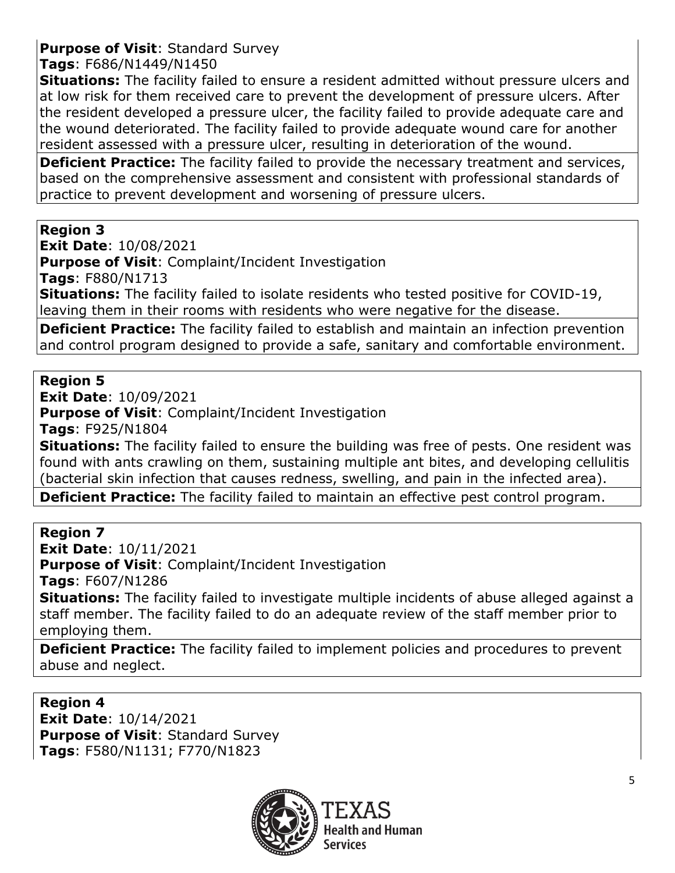# **Purpose of Visit**: Standard Survey

### **Tags**: F686/N1449/N1450

**Situations:** The facility failed to ensure a resident admitted without pressure ulcers and at low risk for them received care to prevent the development of pressure ulcers. After the resident developed a pressure ulcer, the facility failed to provide adequate care and the wound deteriorated. The facility failed to provide adequate wound care for another resident assessed with a pressure ulcer, resulting in deterioration of the wound.

**Deficient Practice:** The facility failed to provide the necessary treatment and services, based on the comprehensive assessment and consistent with professional standards of practice to prevent development and worsening of pressure ulcers.

### **Region 3**

**Exit Date**: 10/08/2021

**Purpose of Visit**: Complaint/Incident Investigation

**Tags**: F880/N1713

**Situations:** The facility failed to isolate residents who tested positive for COVID-19, leaving them in their rooms with residents who were negative for the disease.

**Deficient Practice:** The facility failed to establish and maintain an infection prevention and control program designed to provide a safe, sanitary and comfortable environment.

## **Region 5**

**Exit Date**: 10/09/2021 **Purpose of Visit**: Complaint/Incident Investigation **Tags**: F925/N1804

**Situations:** The facility failed to ensure the building was free of pests. One resident was found with ants crawling on them, sustaining multiple ant bites, and developing cellulitis (bacterial skin infection that causes redness, swelling, and pain in the infected area).

**Deficient Practice:** The facility failed to maintain an effective pest control program.

#### **Region 7**

**Exit Date**: 10/11/2021

**Purpose of Visit**: Complaint/Incident Investigation

**Tags**: F607/N1286

**Situations:** The facility failed to investigate multiple incidents of abuse alleged against a staff member. The facility failed to do an adequate review of the staff member prior to employing them.

**Deficient Practice:** The facility failed to implement policies and procedures to prevent abuse and neglect.

**Region 4 Exit Date**: 10/14/2021 **Purpose of Visit**: Standard Survey **Tags**: F580/N1131; F770/N1823

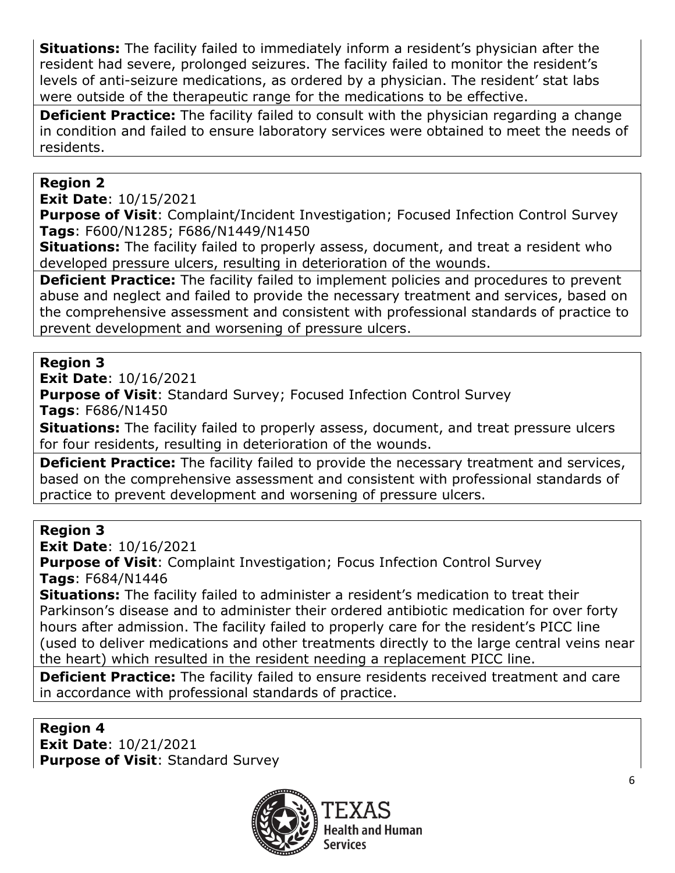**Situations:** The facility failed to immediately inform a resident's physician after the resident had severe, prolonged seizures. The facility failed to monitor the resident's levels of anti-seizure medications, as ordered by a physician. The resident' stat labs were outside of the therapeutic range for the medications to be effective.

**Deficient Practice:** The facility failed to consult with the physician regarding a change in condition and failed to ensure laboratory services were obtained to meet the needs of residents.

## **Region 2**

**Exit Date**: 10/15/2021

**Purpose of Visit:** Complaint/Incident Investigation; Focused Infection Control Survey **Tags**: F600/N1285; F686/N1449/N1450

**Situations:** The facility failed to properly assess, document, and treat a resident who developed pressure ulcers, resulting in deterioration of the wounds.

**Deficient Practice:** The facility failed to implement policies and procedures to prevent abuse and neglect and failed to provide the necessary treatment and services, based on the comprehensive assessment and consistent with professional standards of practice to prevent development and worsening of pressure ulcers.

# **Region 3**

**Exit Date**: 10/16/2021

**Purpose of Visit**: Standard Survey; Focused Infection Control Survey **Tags**: F686/N1450

**Situations:** The facility failed to properly assess, document, and treat pressure ulcers for four residents, resulting in deterioration of the wounds.

**Deficient Practice:** The facility failed to provide the necessary treatment and services, based on the comprehensive assessment and consistent with professional standards of practice to prevent development and worsening of pressure ulcers.

## **Region 3**

**Exit Date**: 10/16/2021

**Purpose of Visit**: Complaint Investigation; Focus Infection Control Survey **Tags**: F684/N1446

**Situations:** The facility failed to administer a resident's medication to treat their Parkinson's disease and to administer their ordered antibiotic medication for over forty hours after admission. The facility failed to properly care for the resident's PICC line (used to deliver medications and other treatments directly to the large central veins near the heart) which resulted in the resident needing a replacement PICC line.

**Deficient Practice:** The facility failed to ensure residents received treatment and care in accordance with professional standards of practice.

#### **Region 4 Exit Date**: 10/21/2021 **Purpose of Visit**: Standard Survey

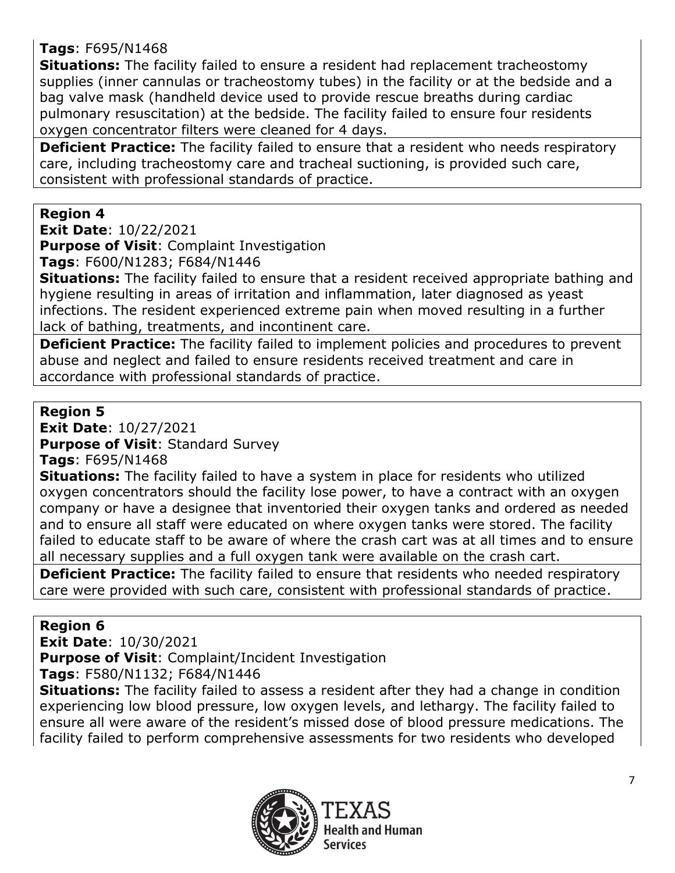# **Tags**: F695/N1468

**Situations:** The facility failed to ensure a resident had replacement tracheostomy supplies (inner cannulas or tracheostomy tubes) in the facility or at the bedside and a bag valve mask (handheld device used to provide rescue breaths during cardiac pulmonary resuscitation) at the bedside. The facility failed to ensure four residents oxygen concentrator filters were cleaned for 4 days.

**Deficient Practice:** The facility failed to ensure that a resident who needs respiratory care, including tracheostomy care and tracheal suctioning, is provided such care, consistent with professional standards of practice.

## **Region 4**

**Exit Date**: 10/22/2021

**Purpose of Visit**: Complaint Investigation

**Tags**: F600/N1283; F684/N1446

**Situations:** The facility failed to ensure that a resident received appropriate bathing and hygiene resulting in areas of irritation and inflammation, later diagnosed as yeast infections. The resident experienced extreme pain when moved resulting in a further lack of bathing, treatments, and incontinent care.

**Deficient Practice:** The facility failed to implement policies and procedures to prevent abuse and neglect and failed to ensure residents received treatment and care in accordance with professional standards of practice.

### **Region 5**

**Exit Date**: 10/27/2021

**Purpose of Visit**: Standard Survey

**Tags**: F695/N1468

**Situations:** The facility failed to have a system in place for residents who utilized oxygen concentrators should the facility lose power, to have a contract with an oxygen company or have a designee that inventoried their oxygen tanks and ordered as needed and to ensure all staff were educated on where oxygen tanks were stored. The facility failed to educate staff to be aware of where the crash cart was at all times and to ensure all necessary supplies and a full oxygen tank were available on the crash cart.

**Deficient Practice:** The facility failed to ensure that residents who needed respiratory care were provided with such care, consistent with professional standards of practice.

## **Region 6**

**Exit Date**: 10/30/2021

**Purpose of Visit**: Complaint/Incident Investigation

**Tags**: F580/N1132; F684/N1446

**Situations:** The facility failed to assess a resident after they had a change in condition experiencing low blood pressure, low oxygen levels, and lethargy. The facility failed to ensure all were aware of the resident's missed dose of blood pressure medications. The facility failed to perform comprehensive assessments for two residents who developed

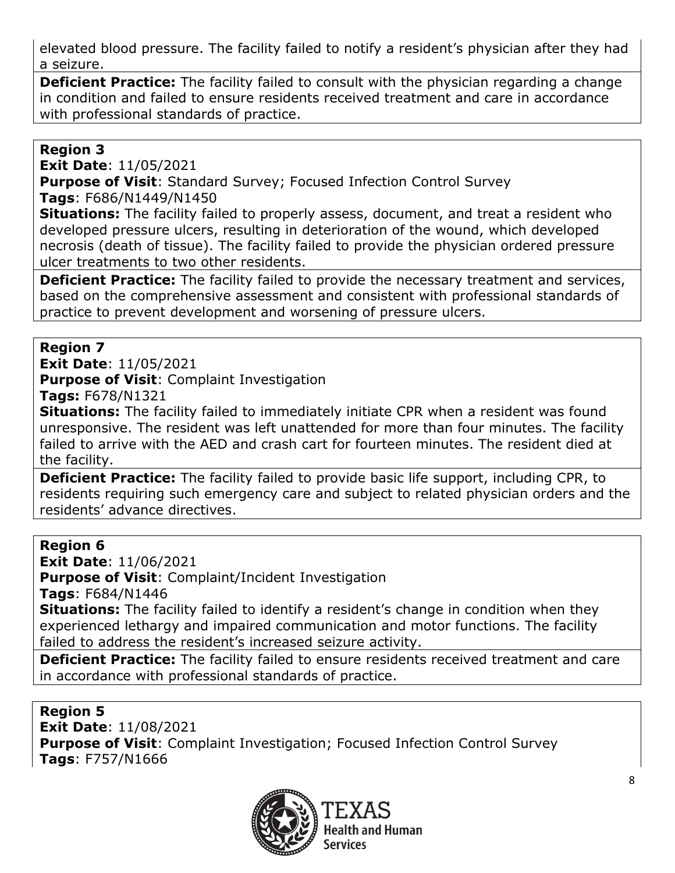elevated blood pressure. The facility failed to notify a resident's physician after they had a seizure.

**Deficient Practice:** The facility failed to consult with the physician regarding a change in condition and failed to ensure residents received treatment and care in accordance with professional standards of practice.

### **Region 3**

**Exit Date**: 11/05/2021

**Purpose of Visit**: Standard Survey; Focused Infection Control Survey **Tags**: F686/N1449/N1450

**Situations:** The facility failed to properly assess, document, and treat a resident who developed pressure ulcers, resulting in deterioration of the wound, which developed necrosis (death of tissue). The facility failed to provide the physician ordered pressure ulcer treatments to two other residents.

**Deficient Practice:** The facility failed to provide the necessary treatment and services, based on the comprehensive assessment and consistent with professional standards of practice to prevent development and worsening of pressure ulcers.

#### **Region 7**

**Exit Date**: 11/05/2021 **Purpose of Visit**: Complaint Investigation

**Tags:** F678/N1321

**Situations:** The facility failed to immediately initiate CPR when a resident was found unresponsive. The resident was left unattended for more than four minutes. The facility failed to arrive with the AED and crash cart for fourteen minutes. The resident died at the facility.

**Deficient Practice:** The facility failed to provide basic life support, including CPR, to residents requiring such emergency care and subject to related physician orders and the residents' advance directives.

#### **Region 6**

**Exit Date**: 11/06/2021 **Purpose of Visit**: Complaint/Incident Investigation **Tags**: F684/N1446

**Situations:** The facility failed to identify a resident's change in condition when they experienced lethargy and impaired communication and motor functions. The facility failed to address the resident's increased seizure activity.

**Deficient Practice:** The facility failed to ensure residents received treatment and care in accordance with professional standards of practice.

#### **Region 5**

**Exit Date**: 11/08/2021 **Purpose of Visit**: Complaint Investigation; Focused Infection Control Survey **Tags**: F757/N1666

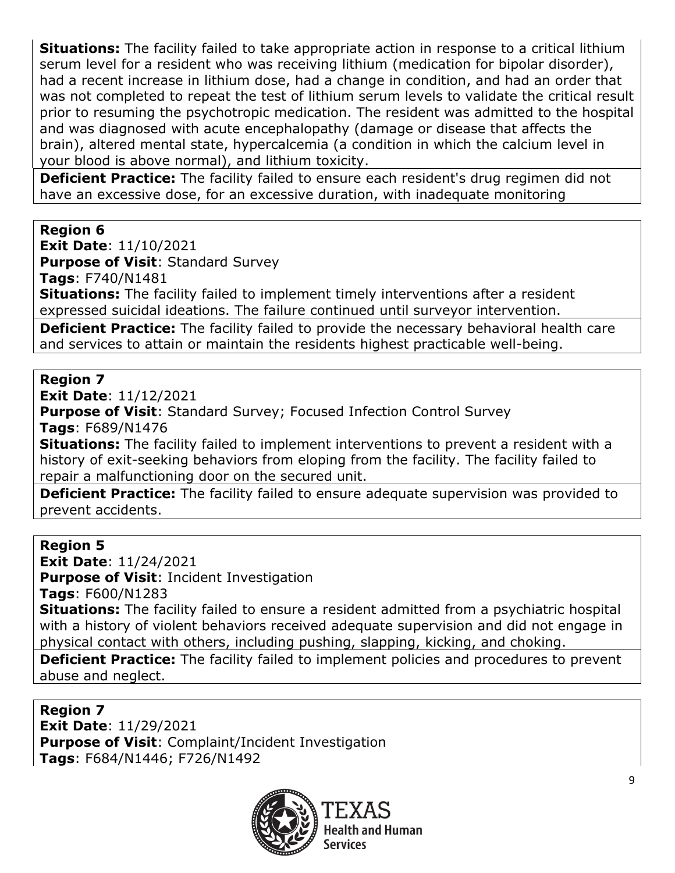**Situations:** The facility failed to take appropriate action in response to a critical lithium serum level for a resident who was receiving lithium (medication for bipolar disorder), had a recent increase in lithium dose, had a change in condition, and had an order that was not completed to repeat the test of lithium serum levels to validate the critical result prior to resuming the psychotropic medication. The resident was admitted to the hospital and was diagnosed with acute encephalopathy (damage or disease that affects the brain), altered mental state, hypercalcemia (a condition in which the calcium level in your blood is above normal), and lithium toxicity.

**Deficient Practice:** The facility failed to ensure each resident's drug regimen did not have an excessive dose, for an excessive duration, with inadequate monitoring

## **Region 6**

**Exit Date**: 11/10/2021

**Purpose of Visit**: Standard Survey

**Tags**: F740/N1481

**Situations:** The facility failed to implement timely interventions after a resident expressed suicidal ideations. The failure continued until surveyor intervention.

**Deficient Practice:** The facility failed to provide the necessary behavioral health care and services to attain or maintain the residents highest practicable well-being.

### **Region 7**

**Exit Date**: 11/12/2021

**Purpose of Visit**: Standard Survey; Focused Infection Control Survey **Tags**: F689/N1476

**Situations:** The facility failed to implement interventions to prevent a resident with a history of exit-seeking behaviors from eloping from the facility. The facility failed to repair a malfunctioning door on the secured unit.

**Deficient Practice:** The facility failed to ensure adequate supervision was provided to prevent accidents.

**Region 5 Exit Date**: 11/24/2021 **Purpose of Visit**: Incident Investigation **Tags**: F600/N1283 **Situations:** The facility failed to ensure a resident admitted from a psychiatric hospital with a history of violent behaviors received adequate supervision and did not engage in physical contact with others, including pushing, slapping, kicking, and choking.

**Deficient Practice:** The facility failed to implement policies and procedures to prevent abuse and neglect.

#### **Region 7**

**Exit Date**: 11/29/2021 **Purpose of Visit**: Complaint/Incident Investigation **Tags**: F684/N1446; F726/N1492

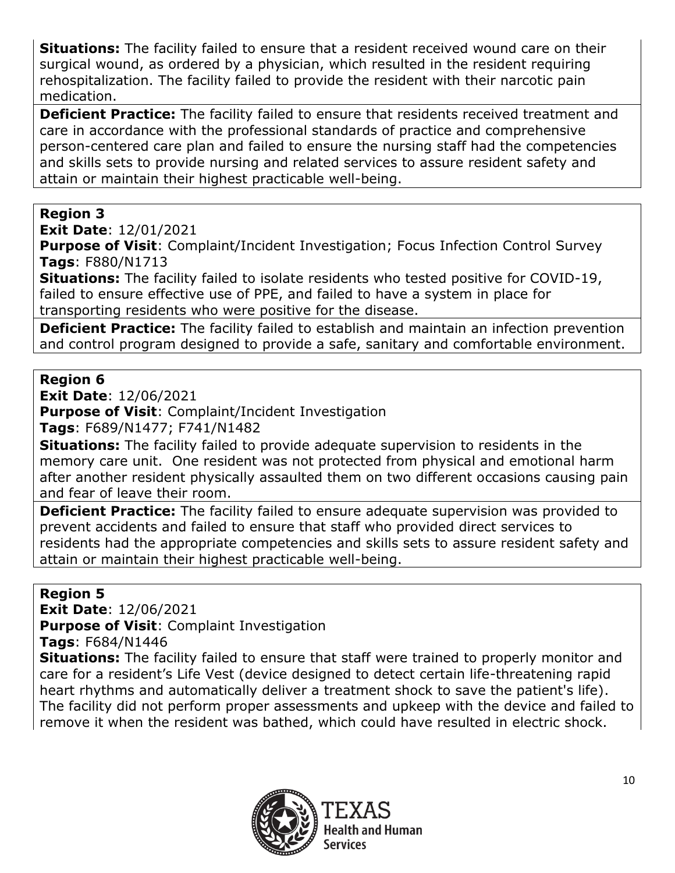**Situations:** The facility failed to ensure that a resident received wound care on their surgical wound, as ordered by a physician, which resulted in the resident requiring rehospitalization. The facility failed to provide the resident with their narcotic pain medication.

**Deficient Practice:** The facility failed to ensure that residents received treatment and care in accordance with the professional standards of practice and comprehensive person-centered care plan and failed to ensure the nursing staff had the competencies and skills sets to provide nursing and related services to assure resident safety and attain or maintain their highest practicable well-being.

## **Region 3**

**Exit Date**: 12/01/2021

**Purpose of Visit: Complaint/Incident Investigation; Focus Infection Control Survey Tags**: F880/N1713

**Situations:** The facility failed to isolate residents who tested positive for COVID-19, failed to ensure effective use of PPE, and failed to have a system in place for transporting residents who were positive for the disease.

**Deficient Practice:** The facility failed to establish and maintain an infection prevention and control program designed to provide a safe, sanitary and comfortable environment.

# **Region 6**

**Exit Date**: 12/06/2021

**Purpose of Visit**: Complaint/Incident Investigation **Tags**: F689/N1477; F741/N1482

**Situations:** The facility failed to provide adequate supervision to residents in the memory care unit. One resident was not protected from physical and emotional harm after another resident physically assaulted them on two different occasions causing pain and fear of leave their room.

**Deficient Practice:** The facility failed to ensure adequate supervision was provided to prevent accidents and failed to ensure that staff who provided direct services to residents had the appropriate competencies and skills sets to assure resident safety and attain or maintain their highest practicable well-being.

## **Region 5**

**Exit Date**: 12/06/2021

**Purpose of Visit**: Complaint Investigation

**Tags**: F684/N1446

**Situations:** The facility failed to ensure that staff were trained to properly monitor and care for a resident's Life Vest (device designed to detect certain life-threatening rapid heart rhythms and automatically deliver a treatment shock to save the patient's life). The facility did not perform proper assessments and upkeep with the device and failed to remove it when the resident was bathed, which could have resulted in electric shock.

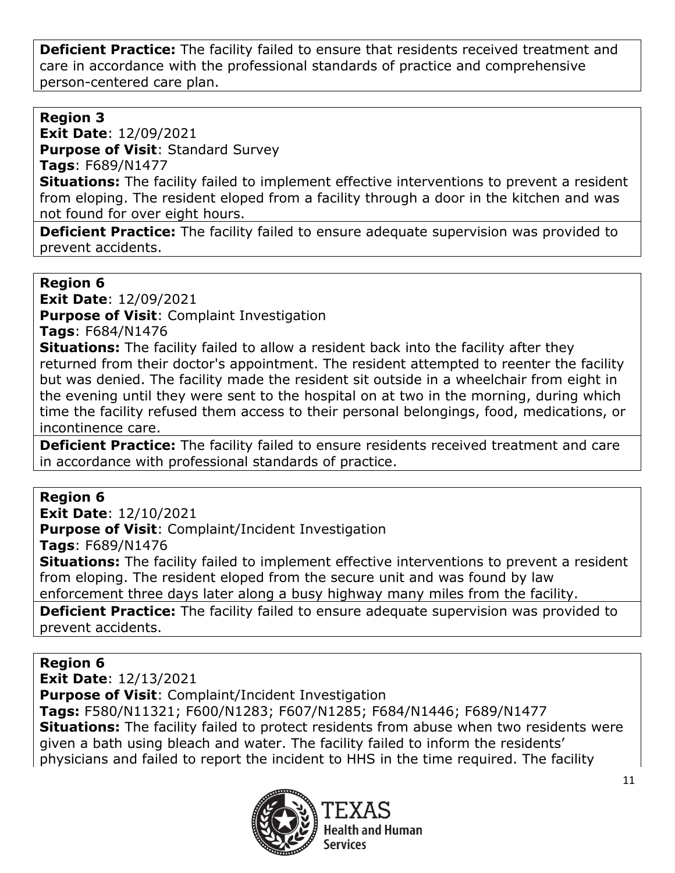**Deficient Practice:** The facility failed to ensure that residents received treatment and care in accordance with the professional standards of practice and comprehensive person-centered care plan.

# **Region 3**

**Exit Date**: 12/09/2021

**Purpose of Visit**: Standard Survey

**Tags**: F689/N1477

**Situations:** The facility failed to implement effective interventions to prevent a resident from eloping. The resident eloped from a facility through a door in the kitchen and was not found for over eight hours.

**Deficient Practice:** The facility failed to ensure adequate supervision was provided to prevent accidents.

### **Region 6**

**Exit Date**: 12/09/2021

**Purpose of Visit**: Complaint Investigation

**Tags**: F684/N1476

**Situations:** The facility failed to allow a resident back into the facility after they returned from their doctor's appointment. The resident attempted to reenter the facility but was denied. The facility made the resident sit outside in a wheelchair from eight in the evening until they were sent to the hospital on at two in the morning, during which time the facility refused them access to their personal belongings, food, medications, or incontinence care.

**Deficient Practice:** The facility failed to ensure residents received treatment and care in accordance with professional standards of practice.

## **Region 6**

**Exit Date**: 12/10/2021 **Purpose of Visit**: Complaint/Incident Investigation **Tags**: F689/N1476 **Situations:** The facility failed to implement effective interventions to prevent a resident from eloping. The resident eloped from the secure unit and was found by law enforcement three days later along a busy highway many miles from the facility.

**Deficient Practice:** The facility failed to ensure adequate supervision was provided to prevent accidents.

# **Region 6**

**Exit Date**: 12/13/2021 **Purpose of Visit**: Complaint/Incident Investigation **Tags:** F580/N11321; F600/N1283; F607/N1285; F684/N1446; F689/N1477 **Situations:** The facility failed to protect residents from abuse when two residents were given a bath using bleach and water. The facility failed to inform the residents' physicians and failed to report the incident to HHS in the time required. The facility

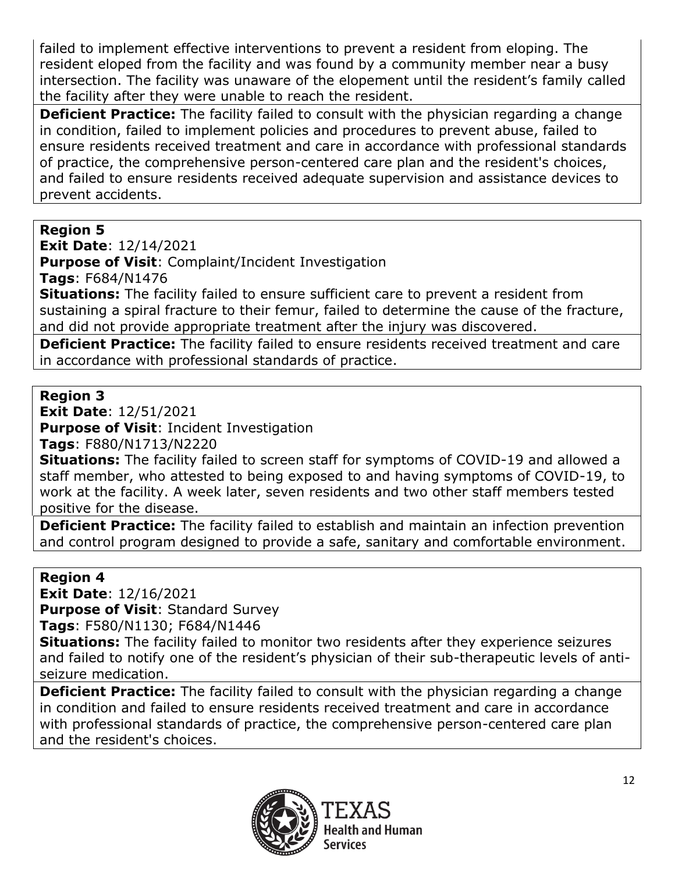failed to implement effective interventions to prevent a resident from eloping. The resident eloped from the facility and was found by a community member near a busy intersection. The facility was unaware of the elopement until the resident's family called the facility after they were unable to reach the resident.

**Deficient Practice:** The facility failed to consult with the physician regarding a change in condition, failed to implement policies and procedures to prevent abuse, failed to ensure residents received treatment and care in accordance with professional standards of practice, the comprehensive person-centered care plan and the resident's choices, and failed to ensure residents received adequate supervision and assistance devices to prevent accidents.

# **Region 5**

**Exit Date**: 12/14/2021

**Purpose of Visit**: Complaint/Incident Investigation

**Tags**: F684/N1476

**Situations:** The facility failed to ensure sufficient care to prevent a resident from sustaining a spiral fracture to their femur, failed to determine the cause of the fracture, and did not provide appropriate treatment after the injury was discovered.

**Deficient Practice:** The facility failed to ensure residents received treatment and care in accordance with professional standards of practice.

## **Region 3**

**Exit Date**: 12/51/2021

**Purpose of Visit**: Incident Investigation

**Tags**: F880/N1713/N2220

**Situations:** The facility failed to screen staff for symptoms of COVID-19 and allowed a staff member, who attested to being exposed to and having symptoms of COVID-19, to work at the facility. A week later, seven residents and two other staff members tested positive for the disease.

**Deficient Practice:** The facility failed to establish and maintain an infection prevention and control program designed to provide a safe, sanitary and comfortable environment.

## **Region 4**

**Exit Date**: 12/16/2021 **Purpose of Visit**: Standard Survey

**Tags**: F580/N1130; F684/N1446

**Situations:** The facility failed to monitor two residents after they experience seizures and failed to notify one of the resident's physician of their sub-therapeutic levels of antiseizure medication.

**Deficient Practice:** The facility failed to consult with the physician regarding a change in condition and failed to ensure residents received treatment and care in accordance with professional standards of practice, the comprehensive person-centered care plan and the resident's choices.

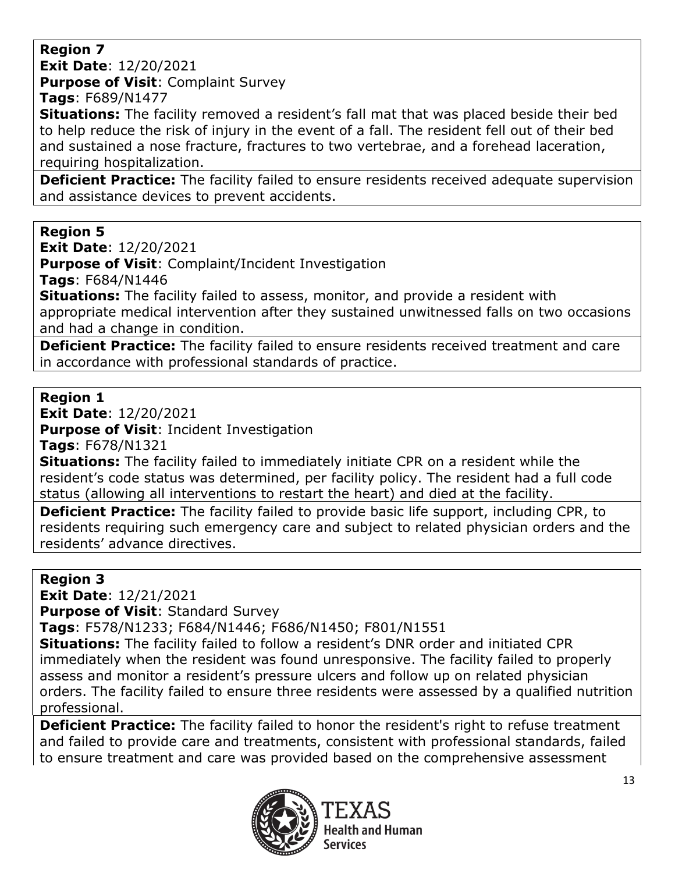**Region 7**

**Exit Date**: 12/20/2021 **Purpose of Visit**: Complaint Survey

**Tags**: F689/N1477

**Situations:** The facility removed a resident's fall mat that was placed beside their bed to help reduce the risk of injury in the event of a fall. The resident fell out of their bed and sustained a nose fracture, fractures to two vertebrae, and a forehead laceration, requiring hospitalization.

**Deficient Practice:** The facility failed to ensure residents received adequate supervision and assistance devices to prevent accidents.

## **Region 5**

**Exit Date**: 12/20/2021

**Purpose of Visit**: Complaint/Incident Investigation

**Tags**: F684/N1446

**Situations:** The facility failed to assess, monitor, and provide a resident with appropriate medical intervention after they sustained unwitnessed falls on two occasions and had a change in condition.

**Deficient Practice:** The facility failed to ensure residents received treatment and care in accordance with professional standards of practice.

### **Region 1**

**Exit Date**: 12/20/2021

**Purpose of Visit**: Incident Investigation

**Tags**: F678/N1321

**Situations:** The facility failed to immediately initiate CPR on a resident while the resident's code status was determined, per facility policy. The resident had a full code status (allowing all interventions to restart the heart) and died at the facility.

**Deficient Practice:** The facility failed to provide basic life support, including CPR, to residents requiring such emergency care and subject to related physician orders and the residents' advance directives.

# **Region 3**

**Exit Date**: 12/21/2021

**Purpose of Visit**: Standard Survey

**Tags**: F578/N1233; F684/N1446; F686/N1450; F801/N1551

**Situations:** The facility failed to follow a resident's DNR order and initiated CPR immediately when the resident was found unresponsive. The facility failed to properly assess and monitor a resident's pressure ulcers and follow up on related physician orders. The facility failed to ensure three residents were assessed by a qualified nutrition professional.

**Deficient Practice:** The facility failed to honor the resident's right to refuse treatment and failed to provide care and treatments, consistent with professional standards, failed to ensure treatment and care was provided based on the comprehensive assessment

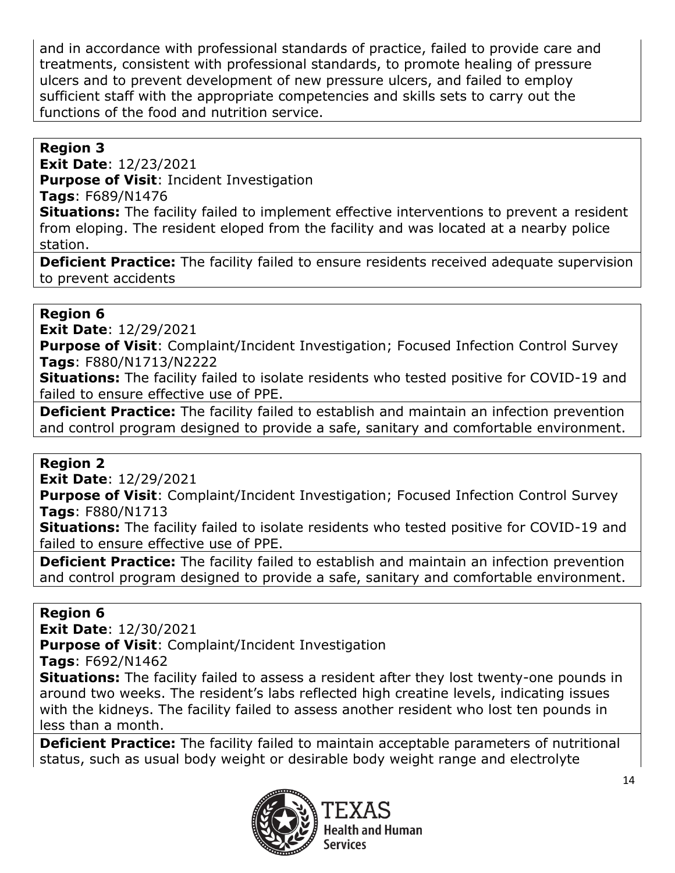and in accordance with professional standards of practice, failed to provide care and treatments, consistent with professional standards, to promote healing of pressure ulcers and to prevent development of new pressure ulcers, and failed to employ sufficient staff with the appropriate competencies and skills sets to carry out the functions of the food and nutrition service.

# **Region 3**

**Exit Date**: 12/23/2021 **Purpose of Visit**: Incident Investigation **Tags**: F689/N1476

**Situations:** The facility failed to implement effective interventions to prevent a resident from eloping. The resident eloped from the facility and was located at a nearby police station.

**Deficient Practice:** The facility failed to ensure residents received adequate supervision to prevent accidents

## **Region 6**

**Exit Date**: 12/29/2021

**Purpose of Visit:** Complaint/Incident Investigation; Focused Infection Control Survey **Tags**: F880/N1713/N2222

**Situations:** The facility failed to isolate residents who tested positive for COVID-19 and failed to ensure effective use of PPE.

**Deficient Practice:** The facility failed to establish and maintain an infection prevention and control program designed to provide a safe, sanitary and comfortable environment.

# **Region 2**

**Exit Date**: 12/29/2021

**Purpose of Visit:** Complaint/Incident Investigation; Focused Infection Control Survey **Tags**: F880/N1713

**Situations:** The facility failed to isolate residents who tested positive for COVID-19 and failed to ensure effective use of PPE.

**Deficient Practice:** The facility failed to establish and maintain an infection prevention and control program designed to provide a safe, sanitary and comfortable environment.

## **Region 6**

**Exit Date**: 12/30/2021

**Purpose of Visit**: Complaint/Incident Investigation

**Tags**: F692/N1462

**Situations:** The facility failed to assess a resident after they lost twenty-one pounds in around two weeks. The resident's labs reflected high creatine levels, indicating issues with the kidneys. The facility failed to assess another resident who lost ten pounds in less than a month.

**Deficient Practice:** The facility failed to maintain acceptable parameters of nutritional status, such as usual body weight or desirable body weight range and electrolyte